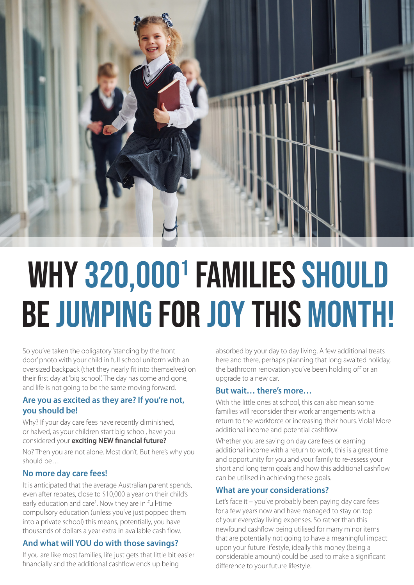

# WHY 320,000<sup>1</sup> FAMILIES SHOULD be jumping for joy THIS MONTH!

So you've taken the obligatory 'standing by the front door' photo with your child in full school uniform with an oversized backpack (that they nearly fit into themselves) on their first day at 'big school'. The day has come and gone, and life is not going to be the same moving forward.

## **Are you as excited as they are? If you're not, you should be!**

Why? If your day care fees have recently diminished, or halved, as your children start big school, have you considered your **exciting NEW financial future?**  No? Then you are not alone. Most don't. But here's why you should be…

## **No more day care fees!**

It is anticipated that the average Australian parent spends, even after rebates, close to \$10,000 a year on their child's early education and care<sup>1</sup>. Now they are in full-time compulsory education (unless you've just popped them into a private school) this means, potentially, you have thousands of dollars a year extra in available cash flow.

# **And what will YOU do with those savings?**

If you are like most families, life just gets that little bit easier financially and the additional cashflow ends up being

absorbed by your day to day living. A few additional treats here and there, perhaps planning that long awaited holiday, the bathroom renovation you've been holding off or an upgrade to a new car.

# **But wait… there's more…**

With the little ones at school, this can also mean some families will reconsider their work arrangements with a return to the workforce or increasing their hours. Viola! More additional income and potential cashflow!

Whether you are saving on day care fees or earning additional income with a return to work, this is a great time and opportunity for you and your family to re-assess your short and long term goals and how this additional cashflow can be utilised in achieving these goals.

## **What are your considerations?**

Let's face it – you've probably been paying day care fees for a few years now and have managed to stay on top of your everyday living expenses. So rather than this newfound cashflow being utilised for many minor items that are potentially not going to have a meaningful impact upon your future lifestyle, ideally this money (being a considerable amount) could be used to make a significant difference to your future lifestyle.